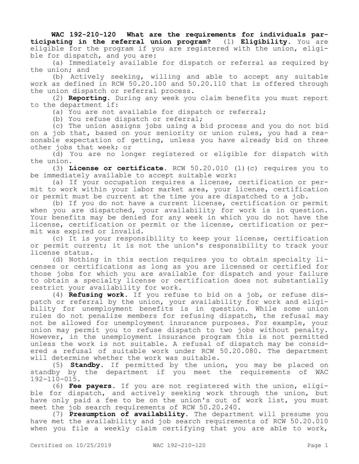**WAC 192-210-120 What are the requirements for individuals participating in the referral union program?** (1) **Eligibility.** You are eligible for the program if you are registered with the union, eligible for dispatch, and you are:

(a) Immediately available for dispatch or referral as required by the union; and

(b) Actively seeking, willing and able to accept any suitable work as defined in RCW 50.20.100 and 50.20.110 that is offered through the union dispatch or referral process.

(2) **Reporting.** During any week you claim benefits you must report to the department if:

(a) You are not available for dispatch or referral;

(b) You refuse dispatch or referral;

(c) The union assigns jobs using a bid process and you do not bid on a job that, based on your seniority or union rules, you had a reasonable expectation of getting, unless you have already bid on three other jobs that week; or

(d) You are no longer registered or eligible for dispatch with the union.

(3) **License or certificate.** RCW 50.20.010 (1)(c) requires you to be immediately available to accept suitable work:

(a) If your occupation requires a license, certification or permit to work within your labor market area, your license, certification or permit must be current at the time you are dispatched to a job.

(b) If you do not have a current license, certification or permit when you are dispatched, your availability for work is in question. Your benefits may be denied for any week in which you do not have the license, certification or permit or the license, certification or permit was expired or invalid.

(c) It is your responsibility to keep your license, certification or permit current; it is not the union's responsibility to track your license status.

(d) Nothing in this section requires you to obtain specialty licenses or certifications as long as you are licensed or certified for those jobs for which you are available for dispatch and your failure to obtain a specialty license or certification does not substantially restrict your availability for work.

(4) **Refusing work.** If you refuse to bid on a job, or refuse dispatch or referral by the union, your availability for work and eligibility for unemployment benefits is in question. While some union rules do not penalize members for refusing dispatch, the refusal may not be allowed for unemployment insurance purposes. For example, your union may permit you to refuse dispatch to two jobs without penalty. However, in the unemployment insurance program this is not permitted unless the work is not suitable. A refusal of dispatch may be considered a refusal of suitable work under RCW 50.20.080. The department will determine whether the work was suitable.

(5) **Standby.** If permitted by the union, you may be placed on standby by the department if you meet the requirements of WAC 192-110-015.

(6) **Fee payers.** If you are not registered with the union, eligible for dispatch, and actively seeking work through the union, but have only paid a fee to be on the union's out of work list, you must meet the job search requirements of RCW 50.20.240.

(7) **Presumption of availability.** The department will presume you have met the availability and job search requirements of RCW 50.20.010 when you file a weekly claim certifying that you are able to work,